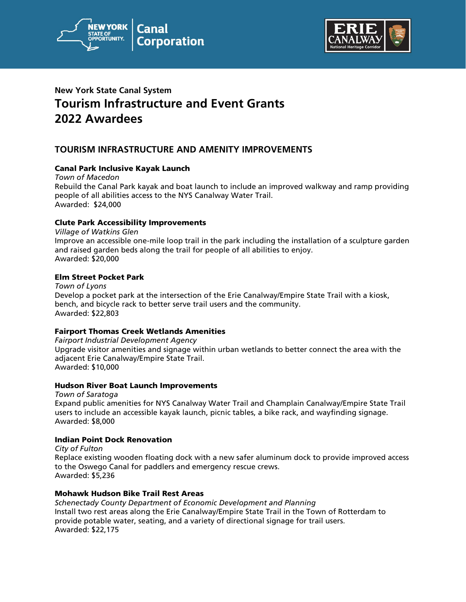



# **New York State Canal System Tourism Infrastructure and Event Grants 2022 Awardees**

# **TOURISM INFRASTRUCTURE AND AMENITY IMPROVEMENTS**

# Canal Park Inclusive Kayak Launch

*Town of Macedon* Rebuild the Canal Park kayak and boat launch to include an improved walkway and ramp providing people of all abilities access to the NYS Canalway Water Trail. Awarded: \$24,000

# Clute Park Accessibility Improvements

*Village of Watkins Glen* Improve an accessible one-mile loop trail in the park including the installation of a sculpture garden and raised garden beds along the trail for people of all abilities to enjoy. Awarded: \$20,000

# Elm Street Pocket Park

*Town of Lyons* Develop a pocket park at the intersection of the Erie Canalway/Empire State Trail with a kiosk, bench, and bicycle rack to better serve trail users and the community. Awarded: \$22,803

#### Fairport Thomas Creek Wetlands Amenities

*Fairport Industrial Development Agency*  Upgrade visitor amenities and signage within urban wetlands to better connect the area with the adjacent Erie Canalway/Empire State Trail. Awarded: \$10,000

#### Hudson River Boat Launch Improvements

*Town of Saratoga* Expand public amenities for NYS Canalway Water Trail and Champlain Canalway/Empire State Trail users to include an accessible kayak launch, picnic tables, a bike rack, and wayfinding signage. Awarded: \$8,000

#### Indian Point Dock Renovation

*City of Fulton* Replace existing wooden floating dock with a new safer aluminum dock to provide improved access to the Oswego Canal for paddlers and emergency rescue crews. Awarded: \$5,236

# Mohawk Hudson Bike Trail Rest Areas

*Schenectady County Department of Economic Development and Planning* Install two rest areas along the Erie Canalway/Empire State Trail in the Town of Rotterdam to provide potable water, seating, and a variety of directional signage for trail users. Awarded: \$22,175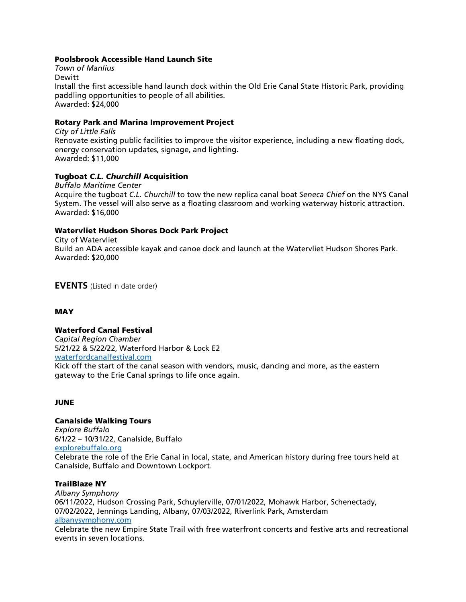# Poolsbrook Accessible Hand Launch Site

*Town of Manlius* Dewitt Install the first accessible hand launch dock within the Old Erie Canal State Historic Park, providing paddling opportunities to people of all abilities. Awarded: \$24,000

## Rotary Park and Marina Improvement Project

*City of Little Falls* Renovate existing public facilities to improve the visitor experience, including a new floating dock, energy conservation updates, signage, and lighting. Awarded: \$11,000

## Tugboat *C.L. Churchill* Acquisition

*Buffalo Maritime Center* Acquire the tugboat *C.L. Churchill* to tow the new replica canal boat *Seneca Chief* on the NYS Canal System. The vessel will also serve as a floating classroom and working waterway historic attraction. Awarded: \$16,000

## Watervliet Hudson Shores Dock Park Project

City of Watervliet Build an ADA accessible kayak and canoe dock and launch at the Watervliet Hudson Shores Park. Awarded: \$20,000

**EVENTS** (Listed in date order)

#### **MAY**

#### Waterford Canal Festival

*Capital Region Chamber* 5/21/22 & 5/22/22, Waterford Harbor & Lock E2 [waterfordcanalfestival.com](https://waterfordcanalfestival.com/) Kick off the start of the canal season with vendors, music, dancing and more, as the eastern gateway to the Erie Canal springs to life once again.

#### JUNE

# Canalside Walking Tours

*Explore Buffalo* 6/1/22 – 10/31/22, Canalside, Buffalo [explorebuffalo.org](https://explorebuffalo.org/waterfront/canalside/) Celebrate the role of the Erie Canal in local, state, and American history during free tours held at Canalside, Buffalo and Downtown Lockport.

#### TrailBlaze NY

*Albany Symphony* 06/11/2022, Hudson Crossing Park, Schuylerville, 07/01/2022, Mohawk Harbor, Schenectady, 07/02/2022, Jennings Landing, Albany, 07/03/2022, Riverlink Park, Amsterdam [albanysymphony.com](https://www.albanysymphony.com/trailblazeny)

Celebrate the new Empire State Trail with free waterfront concerts and festive arts and recreational events in seven locations.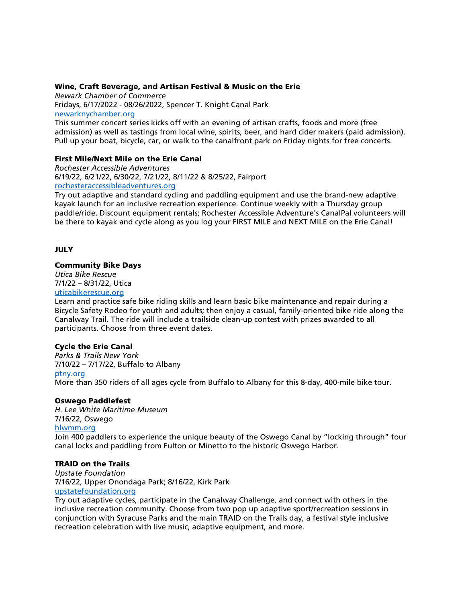#### Wine, Craft Beverage, and Artisan Festival & Music on the Erie

*Newark Chamber of Commerce* Fridays, 6/17/2022 - 08/26/2022, Spencer T. Knight Canal Park [newarknychamber.org](http://newarknychamber.org/)

This summer concert series kicks off with an evening of artisan crafts, foods and more (free admission) as well as tastings from local wine, spirits, beer, and hard cider makers (paid admission). Pull up your boat, bicycle, car, or walk to the canalfront park on Friday nights for free concerts.

## First Mile/Next Mile on the Erie Canal

*Rochester Accessible Adventures* 6/19/22, 6/21/22, 6/30/22, 7/21/22, 8/11/22 & 8/25/22, Fairport [rochesteraccessibleadventures.org](http://rochesteraccessibleadventures.org/) 

Try out adaptive and standard cycling and paddling equipment and use the brand-new adaptive kayak launch for an inclusive recreation experience. Continue weekly with a Thursday group paddle/ride. Discount equipment rentals; Rochester Accessible Adventure's CanalPal volunteers will be there to kayak and cycle along as you log your FIRST MILE and NEXT MILE on the Erie Canal!

# JULY

#### Community Bike Days

*Utica Bike Rescue* 7/1/22 – 8/31/22, Utica [uticabikerescue.org](http://uticabikerescue.org/)

Learn and practice safe bike riding skills and learn basic bike maintenance and repair during a Bicycle Safety Rodeo for youth and adults; then enjoy a casual, family-oriented bike ride along the Canalway Trail. The ride will include a trailside clean-up contest with prizes awarded to all participants. Choose from three event dates.

# Cycle the Erie Canal

*Parks & Trails New York* 7/10/22 – 7/17/22, Buffalo to Albany [ptny.org](https://www.ptny.org/cycle-the-erie-canal/annual-bike-tour) More than 350 riders of all ages cycle from Buffalo to Albany for this 8-day, 400-mile bike tour.

#### Oswego Paddlefest

*H. Lee White Maritime Museum* 7/16/22, Oswego [hlwmm.org](http://hlwmm.org/)

Join 400 paddlers to experience the unique beauty of the Oswego Canal by "locking through" four canal locks and paddling from Fulton or Minetto to the historic Oswego Harbor.

# TRAID on the Trails

*Upstate Foundation* 7/16/22, Upper Onondaga Park; 8/16/22, Kirk Park [upstatefoundation.org](https://www.upstatefoundation.org/)

Try out adaptive cycles, participate in the Canalway Challenge, and connect with others in the inclusive recreation community. Choose from two pop up adaptive sport/recreation sessions in conjunction with Syracuse Parks and the main TRAID on the Trails day, a festival style inclusive recreation celebration with live music, adaptive equipment, and more.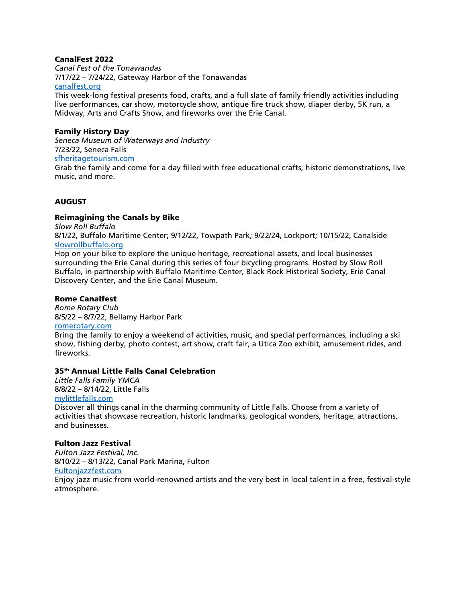# CanalFest 2022

*Canal Fest of the Tonawandas* 7/17/22 – 7/24/22, Gateway Harbor of the Tonawandas [canalfest.org](http://www.canalfest.org/)

This week-long festival presents food, crafts, and a full slate of family friendly activities including live performances, car show, motorcycle show, antique fire truck show, diaper derby, 5K run, a Midway, Arts and Crafts Show, and fireworks over the Erie Canal.

# Family History Day

*Seneca Museum of Waterways and Industry* 7/23/22, Seneca Falls [sfheritagetourism.com](http://sfheritagetourism.com/)

Grab the family and come for a day filled with free educational crafts, historic demonstrations, live music, and more.

# AUGUST

## Reimagining the Canals by Bike

*Slow Roll Buffalo*

8/1/22, Buffalo Maritime Center; 9/12/22, Towpath Park; 9/22/24, Lockport; 10/15/22, Canalside [slowrollbuffalo.org](http://slowrollbuffalo.org/)

Hop on your bike to explore the unique heritage, recreational assets, and local businesses surrounding the Erie Canal during this series of four bicycling programs. Hosted by Slow Roll Buffalo, in partnership with Buffalo Maritime Center, Black Rock Historical Society, Erie Canal Discovery Center, and the Erie Canal Museum.

# Rome Canalfest

*Rome Rotary Club* 8/5/22 – 8/7/22, Bellamy Harbor Park [romerotary.com](http://www.romerotary.com/)

Bring the family to enjoy a weekend of activities, music, and special performances, including a ski show, fishing derby, photo contest, art show, craft fair, a Utica Zoo exhibit, amusement rides, and fireworks.

#### 35th Annual Little Falls Canal Celebration

*Little Falls Family YMCA* 8/8/22 – 8/14/22, Little Falls [mylittlefalls.com](https://mylittlefalls.com/canal-celebration/) Discover all things canal in the charming community of Little Falls. Choose from a variety of activities that showcase recreation, historic landmarks, geological wonders, heritage, attractions, and businesses.

#### Fulton Jazz Festival

*Fulton Jazz Festival, Inc.* 8/10/22 – 8/13/22, Canal Park Marina, Fulton [Fultonjazzfest.com](http://fultonjazzfest.com/) Enjoy jazz music from world-renowned artists and the very best in local talent in a free, festival-style atmosphere.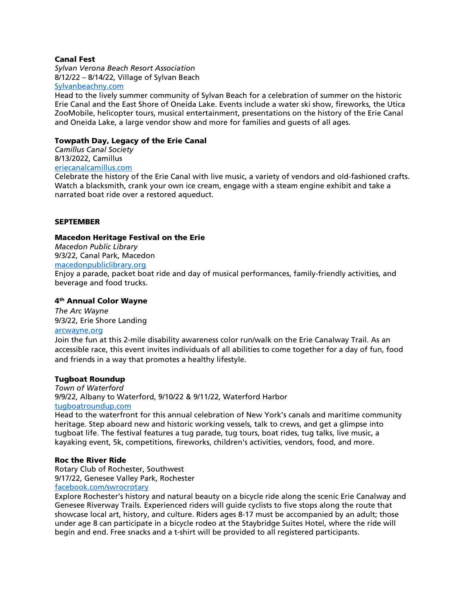## Canal Fest

*Sylvan Verona Beach Resort Association* 8/12/22 – 8/14/22, Village of Sylvan Beach [Sylvanbeachny.com](https://sylvanbeachny.com/events/)

Head to the lively summer community of Sylvan Beach for a celebration of summer on the historic Erie Canal and the East Shore of Oneida Lake. Events include a water ski show, fireworks, the Utica ZooMobile, helicopter tours, musical entertainment, presentations on the history of the Erie Canal and Oneida Lake, a large vendor show and more for families and guests of all ages.

# Towpath Day, Legacy of the Erie Canal

*Camillus Canal Society* 8/13/2022, Camillus

# [eriecanalcamillus.com](http://www.eriecanalcamillus.com/)

Celebrate the history of the Erie Canal with live music, a variety of vendors and old-fashioned crafts. Watch a blacksmith, crank your own ice cream, engage with a steam engine exhibit and take a narrated boat ride over a restored aqueduct.

## **SEPTEMBER**

## Macedon Heritage Festival on the Erie

*Macedon Public Library* 9/3/22, Canal Park, Macedon

## [macedonpubliclibrary.org](http://www.macedonpubliclibrary.org/)

Enjoy a parade, packet boat ride and day of musical performances, family-friendly activities, and beverage and food trucks.

# 4th Annual Color Wayne

*The Arc Wayne* 9/3/22, Erie Shore Landing

# [arcwayne.org](https://www.arcwayne.org/newsandevents.html)

Join the fun at this 2-mile disability awareness color run/walk on the Erie Canalway Trail. As an accessible race, this event invites individuals of all abilities to come together for a day of fun, food and friends in a way that promotes a healthy lifestyle.

#### Tugboat Roundup

*Town of Waterford* 9/9/22, Albany to Waterford, 9/10/22 & 9/11/22, Waterford Harbor [tugboatroundup.com](http://www.tugboatroundup.com/)

Head to the waterfront for this annual celebration of New York's canals and maritime community heritage. Step aboard new and historic working vessels, talk to crews, and get a glimpse into tugboat life. The festival features a tug parade, tug tours, boat rides, tug talks, live music, a kayaking event, 5k, competitions, fireworks, children's activities, vendors, food, and more.

#### Roc the River Ride

Rotary Club of Rochester, Southwest 9/17/22, Genesee Valley Park, Rochester [facebook.com/swrocrotary](http://www.facebook.com/swrocrotary)

Explore Rochester's history and natural beauty on a bicycle ride along the scenic Erie Canalway and Genesee Riverway Trails. Experienced riders will guide cyclists to five stops along the route that showcase local art, history, and culture. Riders ages 8-17 must be accompanied by an adult; those under age 8 can participate in a bicycle rodeo at the Staybridge Suites Hotel, where the ride will begin and end. Free snacks and a t-shirt will be provided to all registered participants.